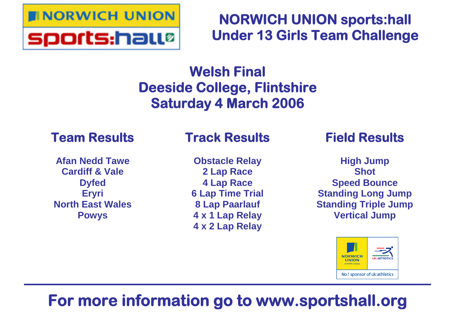

**NORWICH UNION sports:hall Under 13 Girls Team Challenge**

## **Welsh Final Deeside College, Flintshire Saturday 4 March 2006**

## **Team Results**

**Afan Nedd Tawe Cardiff & Vale Dyfed Eryri North East Wales Powys**

## **Track Results**

**Obstacle Relay 2 Lap Race 4 Lap Race 6 Lap Time Trial 8 Lap Paarlauf 4 x 1 Lap Relay 4 x 2 Lap Relay**

## **Field Results**

**High Jump Shot Speed Bounce Standing Long Jump Standing Triple Jump Vertical Jump**



# **For more information go to www.sportshall.org**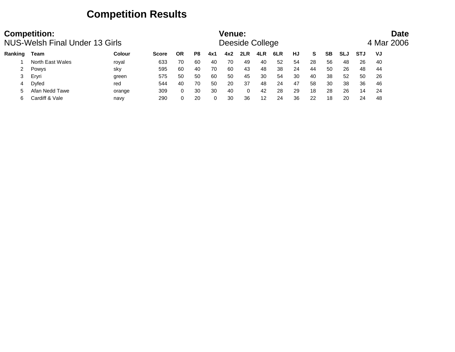### **Competition Results**

|         | <b>Competition:</b><br>NUS-Welsh Final Under 13 Girls |               |              |          |     |     | <b>Venue:</b> | Deeside College |     |     |    |    |           |            |     | <b>Date</b><br>4 Mar 2006 |
|---------|-------------------------------------------------------|---------------|--------------|----------|-----|-----|---------------|-----------------|-----|-----|----|----|-----------|------------|-----|---------------------------|
| Ranking | Team                                                  | <b>Colour</b> | <b>Score</b> | ΟR       | P8  | 4x1 | 4x2           | 2LR             | 4LR | 6LR | HJ | S. | <b>SB</b> | <b>SLJ</b> | STJ | VJ                        |
|         | North East Wales                                      | royal         | 633          | 70       | 60  | 40  | 70            | 49              | 40  | 52  | 54 | 28 | 56        | 48         | 26  | 40                        |
| 2       | Powys                                                 | sky           | 595          | 60       | 40  | 70  | 60            | 43              | 48  | 38  | 24 | 44 | 50        | 26         | 48  | 44                        |
| 3       | Ervri                                                 | green         | 575          | 50       | -50 | 60  | 50            | 45              | 30  | 54  | 30 | 40 | 38        | 52         | 50  | 26                        |
| 4       | <b>D</b> vfed                                         | red           | 544          | 40       | 70  | 50  | 20            | 37              | 48  | 24  | 47 | 58 | 30        | 38         | 36  | 46                        |
|         | Afan Nedd Tawe                                        | orange        | 309          | $\Omega$ | 30  | 30  | 40            | 0               | 42  | 28  | 29 | 18 | 28        | 26         | 14  | 24                        |
| 6       | Cardiff & Vale                                        | navy          | 290          | $\Omega$ | 20  | 0   | 30            | 36              | 12  | 24  | 36 | 22 | 18        | 20         | 24  | 48                        |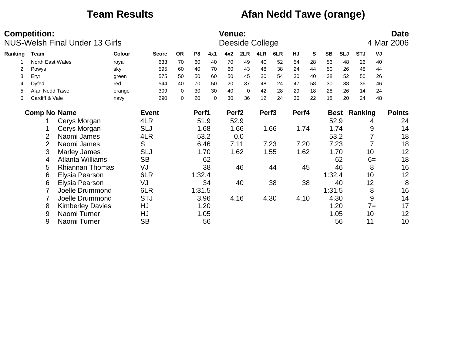### **Team Results Afan Nedd Tawe (orange)**

|         | <b>Competition:</b> | <b>NUS-Welsh Final Under 13 Girls</b> |               |              |           |                |      | <b>Venue:</b>     |             | Deeside College   |      |       |    |           |            |            |                  | <b>Date</b><br>4 Mar 2006 |
|---------|---------------------|---------------------------------------|---------------|--------------|-----------|----------------|------|-------------------|-------------|-------------------|------|-------|----|-----------|------------|------------|------------------|---------------------------|
| Ranking | <b>Team</b>         |                                       | <b>Colour</b> | <b>Score</b> | <b>OR</b> | P <sub>8</sub> | 4x1  | 4x2               | 2LR         | 4LR               | 6LR  | HJ    | S  | <b>SB</b> | <b>SLJ</b> | <b>STJ</b> | VJ               |                           |
|         | North East Wales    |                                       | royal         | 633          | 70        | 60             | 40   | 70                | 49          | 40                | 52   | 54    | 28 | 56        | 48         | 26         | 40               |                           |
| 2       | Powys               |                                       | sky           | 595          | 60        | 40             | 70   | 60                | 43          | 48                | 38   | 24    | 44 | 50        | 26         | 48         | 44               |                           |
| 3       | Eryri               |                                       | green         | 575          | 50        | 50             | 60   | 50                | 45          | 30                | 54   | 30    | 40 | 38        | 52         | 50         | 26               |                           |
| 4       | Dyfed               |                                       | red           | 544          | 40        | 70             | 50   | 20                | 37          | 48                | 24   | 47    | 58 | 30        | 38         | 36         | 46               |                           |
| 5       | Afan Nedd Tawe      |                                       | orange        | 309          | 0         | 30             | 30   | 40                | $\mathbf 0$ | 42                | 28   | 29    | 18 | 28        | 26         | 14         | 24               |                           |
| 6       | Cardiff & Vale      |                                       | navy          | 290          | 0         | 20             | 0    | 30                | 36          | 12                | 24   | 36    | 22 | 18        | 20         | 24         | 48               |                           |
|         | <b>Comp No Name</b> |                                       |               | <b>Event</b> |           | Perf1          |      | Perf <sub>2</sub> |             | Perf <sub>3</sub> |      | Perf4 |    |           | Best       | Ranking    |                  | <b>Points</b>             |
|         |                     | Cerys Morgan                          |               | 4LR          |           | 51.9           |      |                   | 52.9        |                   |      |       |    |           | 52.9       |            | 4                | 24                        |
|         |                     | Cerys Morgan                          |               | <b>SLJ</b>   |           |                | 1.68 |                   | 1.66        |                   | 1.66 | 1.74  |    |           | 1.74       |            | 9                | 14                        |
|         | 2                   | Naomi James                           |               | 4LR          |           | 53.2           |      |                   | 0.0         |                   |      |       |    |           | 53.2       |            |                  | 18                        |
|         | $\overline{2}$      | Naomi James                           |               | S            |           | 6.46           |      | 7.11              |             |                   | 7.23 | 7.20  |    |           | 7.23       |            |                  | 18                        |
|         | 3                   | <b>Marley James</b>                   |               | <b>SLJ</b>   |           |                | 1.70 |                   | 1.62        |                   | 1.55 | 1.62  |    |           | 1.70       |            | 10               | 12                        |
|         | 4                   | Atlanta Williams                      |               | <b>SB</b>    |           |                | 62   |                   |             |                   |      |       |    |           | 62         |            | $6=$             | 18                        |
|         | 5                   | <b>Rhiannan Thomas</b>                |               | VJ           |           |                | 38   |                   | 46          |                   | 44   |       | 45 |           | 46         |            | 8                | 16                        |
|         | 6                   | Elysia Pearson                        |               | 6LR          |           | 1:32.4         |      |                   |             |                   |      |       |    | 1:32.4    |            |            | 10               | 12                        |
|         | 6                   | <b>Elysia Pearson</b>                 |               | VJ           |           |                | 34   |                   | 40          |                   | 38   |       | 38 |           | 40         |            | 12               | 8                         |
|         |                     | Joelle Drummond                       |               | 6LR          |           | 1:31.5         |      |                   |             |                   |      |       |    | 1:31.5    |            |            | 8                | 16                        |
|         |                     | Joelle Drummond                       |               | <b>STJ</b>   |           |                | 3.96 |                   | 4.16        |                   | 4.30 | 4.10  |    |           | 4.30       |            | $\boldsymbol{9}$ | 14                        |
|         | 8                   | <b>Kimberley Davies</b>               |               | HJ           |           |                | 1.20 |                   |             |                   |      |       |    |           | 1.20       |            | $7 =$            | 17                        |
|         | 9                   | Naomi Turner                          |               | HJ           |           |                | 1.05 |                   |             |                   |      |       |    |           | 1.05       |            | 10               | 12                        |
|         | 9                   | Naomi Turner                          |               | <b>SB</b>    |           |                | 56   |                   |             |                   |      |       |    |           | 56         | 11         |                  | 10                        |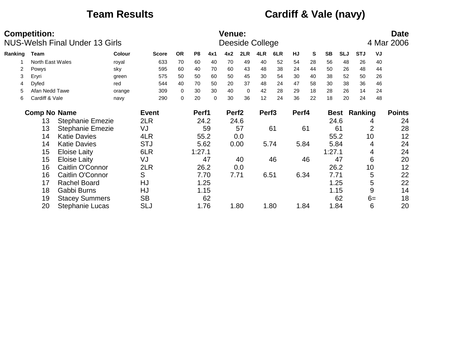## **Team Results Cardiff & Vale (navy)**

|         | <b>Competition:</b> | <b>NUS-Welsh Final Under 13 Girls</b> |        |              |           |                |      | <b>Venue:</b><br>Deeside College |      |                   |      |       |    |           |            |            |                | <b>Date</b><br>4 Mar 2006 |
|---------|---------------------|---------------------------------------|--------|--------------|-----------|----------------|------|----------------------------------|------|-------------------|------|-------|----|-----------|------------|------------|----------------|---------------------------|
| Ranking | Team                |                                       | Colour | <b>Score</b> | <b>OR</b> | P <sub>8</sub> | 4x1  | 4x2                              | 2LR  | 4LR               | 6LR  | HJ    | S  | <b>SB</b> | <b>SLJ</b> | <b>STJ</b> | VJ             |                           |
|         | North East Wales    |                                       | royal  | 633          | 70        | 60             | 40   | 70                               | 49   | 40                | 52   | 54    | 28 | 56        | 48         | 26         | 40             |                           |
| 2       | Powys               |                                       | sky    | 595          | 60        | 40             | 70   | 60                               | 43   | 48                | 38   | 24    | 44 | 50        | 26         | 48         | 44             |                           |
| 3       | Eryri               |                                       | green  | 575          | 50        | 50             | 60   | 50                               | 45   | 30                | 54   | 30    | 40 | 38        | 52         | 50         | 26             |                           |
| 4       | Dyfed               |                                       | red    | 544          | 40        | 70             | 50   | 20                               | 37   | 48                | 24   | 47    | 58 | 30        | 38         | 36         | 46             |                           |
| 5       | Afan Nedd Tawe      |                                       | orange | 309          | 0         | 30             | 30   | 40                               | 0    | 42                | 28   | 29    | 18 | 28        | 26         | 14         | 24             |                           |
| 6       | Cardiff & Vale      |                                       | navy   | 290          | 0         | 20             | 0    | 30                               | 36   | 12                | 24   | 36    | 22 | 18        | 20         | 24         | 48             |                           |
|         | <b>Comp No Name</b> |                                       |        | <b>Event</b> |           | Perf1          |      | Perf <sub>2</sub>                |      | Perf <sub>3</sub> |      | Perf4 |    |           | Best       | Ranking    |                | <b>Points</b>             |
|         | 13                  | <b>Stephanie Emezie</b>               |        | 2LR          |           | 24.2           |      |                                  | 24.6 |                   |      |       |    | 24.6      |            |            | 4              | 24                        |
|         | 13                  | <b>Stephanie Emezie</b>               |        | VJ           |           |                | 59   |                                  | 57   |                   | 61   |       | 61 |           | 61         |            | $\overline{2}$ | 28                        |
|         | 14                  | <b>Katie Davies</b>                   |        | 4LR          |           | 55.2           |      |                                  | 0.0  |                   |      |       |    | 55.2      |            | 10         |                | 12                        |
|         | 14                  | <b>Katie Davies</b>                   |        | <b>STJ</b>   |           | 5.62           |      |                                  | 0.00 |                   | 5.74 | 5.84  |    | 5.84      |            |            | 4              | 24                        |
|         | 15                  | <b>Eloise Laity</b>                   |        | 6LR          |           | 1:27.1         |      |                                  |      |                   |      |       |    | 1:27.1    |            |            | 4              | 24                        |
|         | 15                  | <b>Eloise Laity</b>                   |        | VJ           |           |                | 47   |                                  | 40   |                   | 46   |       | 46 |           | 47         |            | 6              | 20                        |
|         | 16                  | Caitlin O'Connor                      |        | 2LR          |           | 26.2           |      |                                  | 0.0  |                   |      |       |    | 26.2      |            |            | 10             | 12                        |
|         | 16                  | Caitlin O'Connor                      |        | S            |           |                | 7.70 | 7.71                             |      |                   | 6.51 | 6.34  |    | 7.71      |            |            | 5              | 22                        |
|         | 17                  | <b>Rachel Board</b>                   |        | HJ           |           | 1.25           |      |                                  |      |                   |      |       |    |           | 1.25       |            | 5              | 22                        |
|         | 18                  | Gabbi Burns                           |        | HJ           |           | 1.15           |      |                                  |      |                   |      |       |    |           | 1.15       |            | 9              | 14                        |
|         | 19                  | <b>Stacey Summers</b>                 |        | <b>SB</b>    |           |                | 62   |                                  |      |                   |      |       |    |           | 62         |            | $6=$           | 18                        |
|         | 20                  | <b>Stephanie Lucas</b>                |        | <b>SLJ</b>   |           |                | 1.76 |                                  | 1.80 |                   | 1.80 | 1.84  |    | 1.84      |            |            | 6              | 20                        |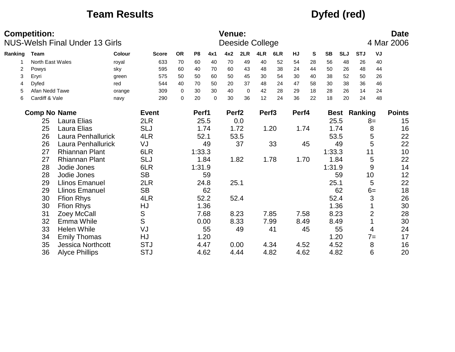### **Team Results Dyfed (red)**

|         | <b>Competition:</b> | <b>NUS-Welsh Final Under 13 Girls</b> |               |               |           |        |          | <b>Venue:</b>     |             | Deeside College   |      |       |    |           |             |            |                | <b>Date</b><br>4 Mar 2006 |
|---------|---------------------|---------------------------------------|---------------|---------------|-----------|--------|----------|-------------------|-------------|-------------------|------|-------|----|-----------|-------------|------------|----------------|---------------------------|
| Ranking | <b>Team</b>         |                                       | <b>Colour</b> | <b>Score</b>  | <b>OR</b> | P8     | 4x1      | 4x2               | 2LR         | 4LR               | 6LR  | HJ    | S  | <b>SB</b> | <b>SLJ</b>  | <b>STJ</b> | VJ             |                           |
|         | North East Wales    |                                       | royal         | 633           | 70        | 60     | 40       | 70                | 49          | 40                | 52   | 54    | 28 | 56        | 48          | 26         | 40             |                           |
| 2       | Powys               |                                       | sky           | 595           | 60        | 40     | 70       | 60                | 43          | 48                | 38   | 24    | 44 | 50        | 26          | 48         | 44             |                           |
| 3       | Eryri               |                                       | green         | 575           | 50        | 50     | 60       | 50                | 45          | 30                | 54   | 30    | 40 | 38        | 52          | 50         | 26             |                           |
| 4       | Dyfed               |                                       | red           | 544           | 40        | 70     | 50       | 20                | 37          | 48                | 24   | 47    | 58 | 30        | 38          | 36         | 46             |                           |
| 5       | Afan Nedd Tawe      |                                       | orange        | 309           | 0         | 30     | 30       | 40                | $\mathbf 0$ | 42                | 28   | 29    | 18 | 28        | 26          | 14         | 24             |                           |
| 6       | Cardiff & Vale      |                                       | navy          | 290           | $\Omega$  | 20     | $\Omega$ | 30                | 36          | 12                | 24   | 36    | 22 | 18        | 20          | 24         | 48             |                           |
|         | <b>Comp No Name</b> |                                       |               | <b>Event</b>  |           | Perf1  |          | Perf <sub>2</sub> |             | Perf <sub>3</sub> |      | Perf4 |    |           | <b>Best</b> | Ranking    |                | <b>Points</b>             |
|         | 25                  | Laura Elias                           |               | 2LR           |           | 25.5   |          |                   | 0.0         |                   |      |       |    | 25.5      |             |            | $8=$           | 15                        |
|         | 25                  | Laura Elias                           |               | <b>SLJ</b>    |           |        | 1.74     |                   | 1.72        |                   | 1.20 | 1.74  |    |           | 1.74        |            | 8              | 16                        |
|         | 26                  | Laura Penhallurick                    |               | 4LR           |           | 52.1   |          |                   | 53.5        |                   |      |       |    | 53.5      |             |            | 5              | 22                        |
|         | 26                  | Laura Penhallurick                    |               | VJ            |           |        | 49       |                   | 37          |                   | 33   |       | 45 |           | 49          |            | 5              | 22                        |
|         | 27                  | <b>Rhiannan Plant</b>                 |               | 6LR           |           | 1:33.3 |          |                   |             |                   |      |       |    | 1:33.3    |             | 11         |                | 10                        |
|         | 27                  | <b>Rhiannan Plant</b>                 |               | <b>SLJ</b>    |           |        | 1.84     |                   | 1.82        |                   | 1.78 | 1.70  |    |           | 1.84        |            | 5              | 22                        |
|         | 28                  | Jodie Jones                           |               | 6LR           |           | 1:31.9 |          |                   |             |                   |      |       |    | 1:31.9    |             |            | 9              | 14                        |
|         | 28                  | Jodie Jones                           |               | <b>SB</b>     |           |        | 59       |                   |             |                   |      |       |    |           | 59          |            | 10             | 12                        |
|         | 29                  | <b>Llinos Emanuel</b>                 |               | 2LR           |           |        | 24.8     |                   | 25.1        |                   |      |       |    | 25.1      |             |            | 5              | 22                        |
|         | 29                  | <b>Llinos Emanuel</b>                 |               | <b>SB</b>     |           |        | 62       |                   |             |                   |      |       |    |           | 62          |            | $6=$           | 18                        |
|         | 30                  | <b>Ffion Rhys</b>                     |               | 4LR           |           |        | 52.2     |                   | 52.4        |                   |      |       |    | 52.4      |             |            | 3              | 26                        |
|         | 30                  | <b>Ffion Rhys</b>                     |               | HJ            |           |        | 1.36     |                   |             |                   |      |       |    |           | 1.36        |            |                | 30                        |
|         | 31                  | Zoey McCall                           |               | ${\mathsf S}$ |           |        | 7.68     |                   | 8.23        |                   | 7.85 | 7.58  |    |           | 8.23        |            | $\overline{2}$ | 28                        |
|         | 32                  | Emma While                            |               | S             |           |        | 0.00     |                   | 8.33        |                   | 7.99 | 8.49  |    | 8.49      |             |            |                | 30                        |
|         | 33                  | <b>Helen While</b>                    |               | VJ            |           |        | 55       |                   | 49          |                   | 41   |       | 45 |           | 55          |            | 4              | 24                        |
|         | 34                  | <b>Emily Thomas</b>                   |               | HJ            |           |        | 1.20     |                   |             |                   |      |       |    |           | 1.20        |            | $7 =$          | 17                        |
|         | 35                  | <b>Jessica Northcott</b>              |               | <b>STJ</b>    |           | 4.47   |          |                   | 0.00        |                   | 4.34 | 4.52  |    |           | 4.52        |            | 8              | 16                        |
|         | 36                  | <b>Alyce Phillips</b>                 |               | <b>STJ</b>    |           |        | 4.62     |                   | 4.44        |                   | 4.82 | 4.62  |    | 4.82      |             |            | 6              | 20                        |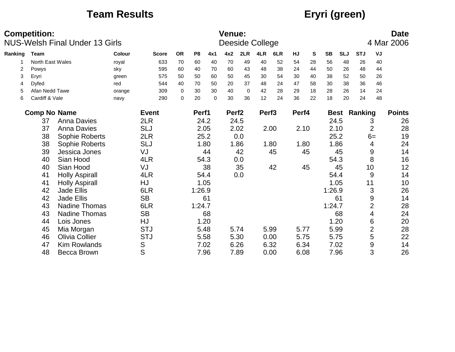## **Team Results Eryri (green)**

|         | <b>Competition:</b> | <b>NUS-Welsh Final Under 13 Girls</b> |               |              |           |                |          | <b>Venue:</b>     |             | Deeside College   |      |       |    |             |            |            |                | <b>Date</b><br>4 Mar 2006 |
|---------|---------------------|---------------------------------------|---------------|--------------|-----------|----------------|----------|-------------------|-------------|-------------------|------|-------|----|-------------|------------|------------|----------------|---------------------------|
| Ranking | Team                |                                       | <b>Colour</b> | <b>Score</b> | <b>OR</b> | P <sub>8</sub> | 4x1      | 4x2               | 2LR         | 4LR               | 6LR  | HJ    | S  | <b>SB</b>   | <b>SLJ</b> | <b>STJ</b> | VJ             |                           |
|         | North East Wales    |                                       | royal         | 633          | 70        | 60             | 40       | 70                | 49          | 40                | 52   | 54    | 28 | 56          | 48         | 26         | 40             |                           |
| 2       | Powys               |                                       | sky           | 595          | 60        | 40             | 70       | 60                | 43          | 48                | 38   | 24    | 44 | 50          | 26         | 48         | 44             |                           |
| 3       | Eryri               |                                       | green         | 575          | 50        | 50             | 60       | 50                | 45          | 30                | 54   | 30    | 40 | 38          | 52         | 50         | 26             |                           |
| 4       | <b>Dyfed</b>        |                                       | red           | 544          | 40        | 70             | 50       | 20                | 37          | 48                | 24   | 47    | 58 | 30          | 38         | 36         | 46             |                           |
| 5       | Afan Nedd Tawe      |                                       | orange        | 309          | 0         | 30             | 30       | 40                | $\mathbf 0$ | 42                | 28   | 29    | 18 | 28          | 26         | 14         | 24             |                           |
| 6       | Cardiff & Vale      |                                       | navy          | 290          | $\Omega$  | 20             | $\Omega$ | 30                | 36          | 12                | 24   | 36    | 22 | 18          | 20         | 24         | 48             |                           |
|         | <b>Comp No Name</b> |                                       |               | <b>Event</b> |           | Perf1          |          | Perf <sub>2</sub> |             | Perf <sub>3</sub> |      | Perf4 |    | <b>Best</b> |            | Ranking    |                | <b>Points</b>             |
|         | 37                  | <b>Anna Davies</b>                    |               | 2LR          |           | 24.2           |          |                   | 24.5        |                   |      |       |    | 24.5        |            |            | 3              | 26                        |
|         | 37                  | <b>Anna Davies</b>                    |               | <b>SLJ</b>   |           | 2.05           |          |                   | 2.02        |                   | 2.00 | 2.10  |    |             | 2.10       |            | 2              | 28                        |
|         | 38                  | Sophie Roberts                        |               | 2LR          |           |                | 25.2     |                   | 0.0         |                   |      |       |    | 25.2        |            |            | $6=$           | 19                        |
|         | 38                  | Sophie Roberts                        |               | <b>SLJ</b>   |           |                | 1.80     |                   | 1.86        |                   | 1.80 | 1.80  |    |             | 1.86       |            | 4              | 24                        |
|         | 39                  | Jessica Jones                         |               | VJ           |           |                | 44       |                   | 42          |                   | 45   |       | 45 |             | 45         |            | 9              | 14                        |
|         | 40                  | Sian Hood                             |               | 4LR          |           |                | 54.3     |                   | 0.0         |                   |      |       |    | 54.3        |            |            | 8              | 16                        |
|         | 40                  | Sian Hood                             |               | VJ           |           |                | 38       |                   | 35          |                   | 42   |       | 45 |             | 45         |            | 10             | 12                        |
|         | 41                  | <b>Holly Aspirall</b>                 |               | 4LR          |           | 54.4           |          |                   | 0.0         |                   |      |       |    | 54.4        |            |            | 9              | 14                        |
|         | 41                  | <b>Holly Aspirall</b>                 |               | HJ           |           | 1.05           |          |                   |             |                   |      |       |    | 1.05        |            | 11         |                | 10                        |
|         | 42                  | <b>Jade Ellis</b>                     |               | 6LR          |           | 1:26.9         |          |                   |             |                   |      |       |    | 1:26.9      |            |            | 3              | 26                        |
|         | 42                  | <b>Jade Ellis</b>                     |               | <b>SB</b>    |           |                | 61       |                   |             |                   |      |       |    |             | 61         |            | 9              | 14                        |
|         | 43                  | <b>Nadine Thomas</b>                  |               | 6LR          |           | 1:24.7         |          |                   |             |                   |      |       |    | 1:24.7      |            |            | $\overline{2}$ | 28                        |
|         | 43                  | <b>Nadine Thomas</b>                  |               | <b>SB</b>    |           |                | 68       |                   |             |                   |      |       |    |             | 68         |            | 4              | 24                        |
|         | 44                  | Lois Jones                            |               | HJ           |           |                | 1.20     |                   |             |                   |      |       |    | 1.20        |            |            | 6              | 20                        |
|         | 45                  | Mia Morgan                            |               | <b>STJ</b>   |           | 5.48           |          | 5.74              |             |                   | 5.99 | 5.77  |    | 5.99        |            |            | $\overline{2}$ | 28                        |
|         | 46                  | <b>Olivia Collier</b>                 |               | <b>STJ</b>   |           | 5.58           |          |                   | 5.30        |                   | 0.00 | 5.75  |    | 5.75        |            |            | 5              | 22                        |
|         | 47                  | <b>Kim Rowlands</b>                   |               | S            |           | 7.02           |          |                   | 6.26        |                   | 6.32 | 6.34  |    | 7.02        |            |            | 9              | 14                        |
|         | 48                  | Becca Brown                           |               | S            |           |                | 7.96     |                   | 7.89        |                   | 0.00 | 6.08  |    | 7.96        |            |            | 3              | 26                        |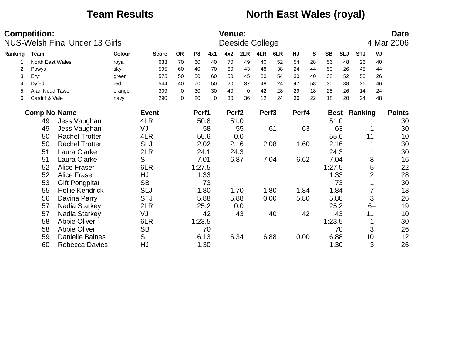### **Team Results <b>North East Wales (royal)**

|         | <b>Competition:</b> | <b>NUS-Welsh Final Under 13 Girls</b> |        |              |             |                |      | <b>Venue:</b>     |          | Deeside College   |      |       |    |           |            |            |                | <b>Date</b><br>4 Mar 2006 |
|---------|---------------------|---------------------------------------|--------|--------------|-------------|----------------|------|-------------------|----------|-------------------|------|-------|----|-----------|------------|------------|----------------|---------------------------|
| Ranking | Team                |                                       | Colour | <b>Score</b> | <b>OR</b>   | P <sub>8</sub> | 4x1  | 4x2               | 2LR      | 4LR               | 6LR  | HJ    | S  | <b>SB</b> | <b>SLJ</b> | <b>STJ</b> | VJ             |                           |
|         | North East Wales    |                                       | royal  | 633          | 70          | 60             | 40   | 70                | 49       | 40                | 52   | 54    | 28 | 56        | 48         | 26         | 40             |                           |
| 2       | Powys               |                                       | sky    | 595          | 60          | 40             | 70   | 60                | 43       | 48                | 38   | 24    | 44 | 50        | 26         | 48         | 44             |                           |
| 3       | Eryri               |                                       | green  | 575          | 50          | 50             | 60   | 50                | 45       | 30                | 54   | 30    | 40 | 38        | 52         | 50         | 26             |                           |
| 4       | Dyfed               |                                       | red    | 544          | 40          | 70             | 50   | 20                | 37       | 48                | 24   | 47    | 58 | 30        | 38         | 36         | 46             |                           |
| 5       | Afan Nedd Tawe      |                                       | orange | 309          | $\mathbf 0$ | 30             | 30   | 40                | $\Omega$ | 42                | 28   | 29    | 18 | 28        | 26         | 14         | 24             |                           |
| 6       | Cardiff & Vale      |                                       | navy   | 290          | $\mathbf 0$ | 20             | 0    | 30                | 36       | 12                | 24   | 36    | 22 | 18        | 20         | 24         | 48             |                           |
|         | <b>Comp No Name</b> |                                       |        | <b>Event</b> |             | Perf1          |      | Perf <sub>2</sub> |          | Perf <sub>3</sub> |      | Perf4 |    |           | Best       | Ranking    |                | <b>Points</b>             |
|         | 49                  | Jess Vaughan                          |        | 4LR          |             |                | 50.8 |                   | 51.0     |                   |      |       |    | 51.0      |            |            |                | 30                        |
|         | 49                  | Jess Vaughan                          |        | VJ           |             |                | 58   |                   | 55       |                   | 61   |       | 63 |           | 63         |            |                | 30                        |
|         | 50                  | <b>Rachel Trotter</b>                 |        | 4LR          |             | 55.6           |      |                   | 0.0      |                   |      |       |    | 55.6      |            | 11         |                | 10                        |
|         | 50                  | <b>Rachel Trotter</b>                 |        | <b>SLJ</b>   |             | 2.02           |      |                   | 2.16     |                   | 2.08 | 1.60  |    | 2.16      |            |            |                | 30                        |
|         | 51                  | Laura Clarke                          |        | 2LR          |             | 24.1           |      |                   | 24.3     |                   |      |       |    | 24.3      |            |            |                | 30                        |
|         | 51                  | Laura Clarke                          |        | S            |             | 7.01           |      |                   | 6.87     |                   | 7.04 | 6.62  |    | 7.04      |            |            | 8              | 16                        |
|         | 52                  | <b>Alice Fraser</b>                   |        | 6LR          |             | 1:27.5         |      |                   |          |                   |      |       |    | 1:27.5    |            |            | 5              | 22                        |
|         | 52                  | <b>Alice Fraser</b>                   |        | HJ           |             |                | 1.33 |                   |          |                   |      |       |    | 1.33      |            |            | $\overline{2}$ | 28                        |
|         | 53                  | <b>Gift Pongpitat</b>                 |        | <b>SB</b>    |             |                | 73   |                   |          |                   |      |       |    |           | 73         |            |                | 30                        |
|         | 55                  | <b>Hollie Kendrick</b>                |        | <b>SLJ</b>   |             |                | 1.80 |                   | 1.70     |                   | 1.80 | 1.84  |    | 1.84      |            |            | 7              | 18                        |
|         | 56                  | Davina Parry                          |        | <b>STJ</b>   |             | 5.88           |      |                   | 5.88     |                   | 0.00 | 5.80  |    | 5.88      |            |            | 3              | 26                        |
|         | 57                  | Nadia Starkey                         |        | 2LR          |             |                | 25.2 |                   | 0.0      |                   |      |       |    | 25.2      |            |            | $6=$           | 19                        |
|         | 57                  | Nadia Starkey                         |        | VJ           |             |                | 42   |                   | 43       |                   | 40   |       | 42 |           | 43         | 11         |                | 10                        |
|         | 58                  | <b>Abbie Oliver</b>                   |        | 6LR          |             | 1:23.5         |      |                   |          |                   |      |       |    | 1:23.5    |            |            |                | 30                        |
|         | 58                  | <b>Abbie Oliver</b>                   |        | <b>SB</b>    |             |                | 70   |                   |          |                   |      |       |    |           | 70         |            | 3              | 26                        |
|         | 59                  | <b>Danielle Baines</b>                |        | S            |             | 6.13           |      |                   | 6.34     |                   | 6.88 | 0.00  |    | 6.88      |            |            | 10             | 12                        |
|         | 60                  | <b>Rebecca Davies</b>                 |        | HJ           |             |                | 1.30 |                   |          |                   |      |       |    | 1.30      |            |            | 3              | 26                        |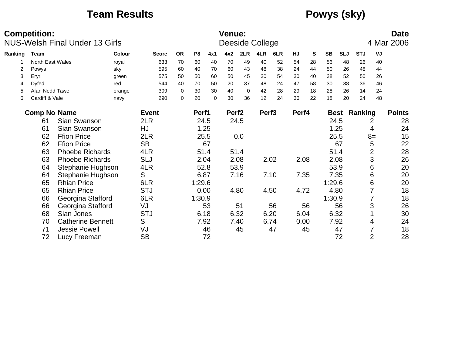### **Team Results Powys (sky)**

|         | <b>Competition:</b> | <b>NUS-Welsh Final Under 13 Girls</b> |        |              |             |                |          | <b>Venue:</b>     |          | Deeside College   |      |       |    |             |            |            |                | <b>Date</b><br>4 Mar 2006 |
|---------|---------------------|---------------------------------------|--------|--------------|-------------|----------------|----------|-------------------|----------|-------------------|------|-------|----|-------------|------------|------------|----------------|---------------------------|
| Ranking | Team                |                                       | Colour | <b>Score</b> | <b>OR</b>   | P <sub>8</sub> | 4x1      | 4x2               | 2LR      | 4LR               | 6LR  | HJ    | S  | <b>SB</b>   | <b>SLJ</b> | <b>STJ</b> | VJ             |                           |
|         | North East Wales    |                                       | royal  | 633          | 70          | 60             | 40       | 70                | 49       | 40                | 52   | 54    | 28 | 56          | 48         | 26         | 40             |                           |
| 2       | Powys               |                                       | sky    | 595          | 60          | 40             | 70       | 60                | 43       | 48                | 38   | 24    | 44 | 50          | 26         | 48         | 44             |                           |
| 3       | Eryri               |                                       | green  | 575          | 50          | 50             | 60       | 50                | 45       | 30                | 54   | 30    | 40 | 38          | 52         | 50         | 26             |                           |
| 4       | Dyfed               |                                       | red    | 544          | 40          | 70             | 50       | 20                | 37       | 48                | 24   | 47    | 58 | 30          | 38         | 36         | 46             |                           |
| 5       | Afan Nedd Tawe      |                                       | orange | 309          | $\mathbf 0$ | 30             | 30       | 40                | $\Omega$ | 42                | 28   | 29    | 18 | 28          | 26         | 14         | 24             |                           |
| 6       | Cardiff & Vale      |                                       | navy   | 290          | $\mathbf 0$ | 20             | $\Omega$ | 30                | 36       | 12                | 24   | 36    | 22 | 18          | 20         | 24         | 48             |                           |
|         | <b>Comp No Name</b> |                                       |        | <b>Event</b> |             | Perf1          |          | Perf <sub>2</sub> |          | Perf <sub>3</sub> |      | Perf4 |    | <b>Best</b> |            | Ranking    |                | <b>Points</b>             |
|         | 61                  | Sian Swanson                          |        | 2LR          |             | 24.5           |          |                   | 24.5     |                   |      |       |    |             | 24.5       |            | 2              | 28                        |
|         | 61                  | Sian Swanson                          |        | HJ           |             | 1.25           |          |                   |          |                   |      |       |    |             | 1.25       |            | 4              | 24                        |
|         | 62                  | <b>Ffion Price</b>                    |        | 2LR          |             |                | 25.5     |                   | 0.0      |                   |      |       |    |             | 25.5       |            | $8=$           | 15                        |
|         | 62                  | <b>Ffion Price</b>                    |        | <b>SB</b>    |             |                | 67       |                   |          |                   |      |       |    |             | 67         |            | 5              | 22                        |
|         | 63                  | <b>Phoebe Richards</b>                |        | 4LR          |             | 51.4           |          |                   | 51.4     |                   |      |       |    |             | 51.4       |            | $\overline{2}$ | 28                        |
|         | 63                  | <b>Phoebe Richards</b>                |        | <b>SLJ</b>   |             | 2.04           |          |                   | 2.08     |                   | 2.02 | 2.08  |    |             | 2.08       |            | 3              | 26                        |
|         | 64                  | Stephanie Hughson                     |        | 4LR          |             | 52.8           |          |                   | 53.9     |                   |      |       |    |             | 53.9       |            | 6              | 20                        |
|         | 64                  | Stephanie Hughson                     |        | S            |             | 6.87           |          |                   | 7.16     |                   | 7.10 | 7.35  |    |             | 7.35       |            | 6              | 20                        |
|         | 65                  | <b>Rhian Price</b>                    |        | 6LR          |             | 1:29.6         |          |                   |          |                   |      |       |    | 1:29.6      |            |            | 6              | 20                        |
|         | 65                  | <b>Rhian Price</b>                    |        | <b>STJ</b>   |             | 0.00           |          |                   | 4.80     |                   | 4.50 | 4.72  |    |             | 4.80       |            |                | 18                        |
|         | 66                  | Georgina Stafford                     |        | 6LR          |             | 1:30.9         |          |                   |          |                   |      |       |    | 1:30.9      |            |            |                | 18                        |
|         | 66                  | Georgina Stafford                     |        | VJ           |             |                | 53       |                   | 51       |                   | 56   |       | 56 |             | 56         |            | 3              | 26                        |
|         | 68                  | Sian Jones                            |        | <b>STJ</b>   |             | 6.18           |          |                   | 6.32     |                   | 6.20 | 6.04  |    | 6.32        |            |            |                | 30                        |
|         | 70                  | <b>Catherine Bennett</b>              |        | S            |             | 7.92           |          |                   | 7.40     |                   | 6.74 | 0.00  |    |             | 7.92       |            | 4              | 24                        |
|         | 71                  | <b>Jessie Powell</b>                  |        | VJ           |             |                | 46       |                   | 45       |                   | 47   |       | 45 |             | 47         |            |                | 18                        |
|         | 72                  | Lucy Freeman                          |        | <b>SB</b>    |             |                | 72       |                   |          |                   |      |       |    |             | 72         |            | $\overline{2}$ | 28                        |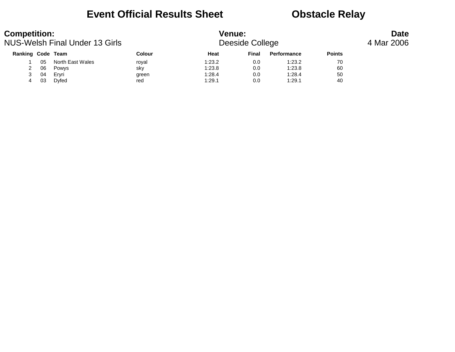### **Event Official Results Sheet <b>CEA** Obstacle Relay

| <b>Competition:</b> |    | NUS-Welsh Final Under 13 Girls |        | <b>Venue:</b> | Deeside College |             |               | <b>Date</b><br>4 Mar 2006 |
|---------------------|----|--------------------------------|--------|---------------|-----------------|-------------|---------------|---------------------------|
| Ranking Code Team   |    |                                | Colour | Heat          | Final           | Performance | <b>Points</b> |                           |
|                     | 05 | North East Wales               | roval  | 1:23.2        | 0.0             | 1:23.2      | 70            |                           |
|                     | 06 | Powys                          | sky    | 1:23.8        | 0.0             | 1:23.8      | 60            |                           |
|                     | 04 | Ervri                          | green  | 1:28.4        | 0.0             | 1:28.4      | 50            |                           |
| 4                   | 03 | Dyfed                          | red    | 1:29.1        | 0.0             | 1:29.1      | 40            |                           |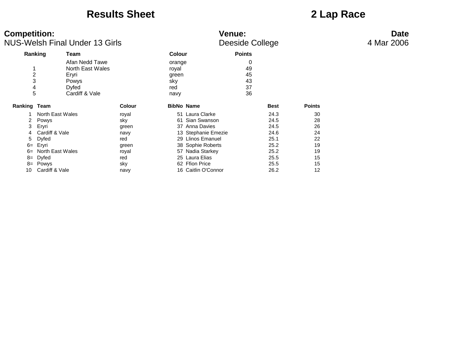### **Results Sheet 2 Lap Race**

| <b>Competition:</b>           | <b>NUS-Welsh Final Under 13 Girls</b>                                           |               |                                                | <b>Venue:</b><br>Deeside College |               | <b>Date</b><br>4 Mar 2006 |
|-------------------------------|---------------------------------------------------------------------------------|---------------|------------------------------------------------|----------------------------------|---------------|---------------------------|
|                               | Ranking<br>Team                                                                 |               | <b>Colour</b>                                  | <b>Points</b>                    |               |                           |
| $\overline{c}$<br>3<br>4<br>5 | Afan Nedd Tawe<br>North East Wales<br>Eryri<br>Powys<br>Dyfed<br>Cardiff & Vale |               | orange<br>royal<br>green<br>sky<br>red<br>navy | 0<br>49<br>45<br>43<br>37<br>36  |               |                           |
| Ranking Team                  |                                                                                 | <b>Colour</b> | <b>BibNo Name</b>                              | <b>Best</b>                      | <b>Points</b> |                           |
|                               | North East Wales                                                                | royal         | 51 Laura Clarke                                | 24.3                             | 30            |                           |
|                               | Powys                                                                           | sky           | 61 Sian Swanson                                | 24.5                             | 28            |                           |
| 3                             | Eryri                                                                           | green         | 37 Anna Davies                                 | 24.5                             | 26            |                           |
| 4                             | Cardiff & Vale                                                                  | navy          | 13 Stephanie Emezie                            | 24.6                             | 24            |                           |
| 5                             | <b>Dyfed</b>                                                                    | red           | 29 Llinos Emanuel                              | 25.1                             | 22            |                           |
| $6=$                          | Eryri                                                                           | green         | 38 Sophie Roberts                              | 25.2                             | 19            |                           |
| $6=$                          | North East Wales                                                                | royal         | 57 Nadia Starkey                               | 25.2                             | 19            |                           |
| 8=                            | Dyfed                                                                           | red           | 25 Laura Elias                                 | 25.5                             | 15            |                           |
| 8=                            | Powys                                                                           | sky           | 62 Ffion Price                                 | 25.5                             | 15            |                           |
| 10                            | Cardiff & Vale                                                                  | navy          | 16 Caitlin O'Connor                            | 26.2                             | 12            |                           |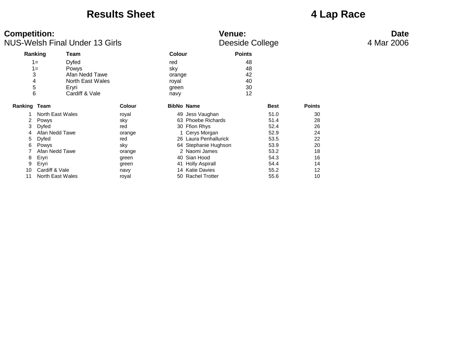### **Results Sheet 4 Lap Race**

11 North East Wales royal

| <b>Competition:</b> |                  | <b>NUS-Welsh Final Under 13 Girls</b> |               |               | <b>Venue:</b>         | Deeside College |             |               | <b>Date</b><br>4 Mar 2006 |
|---------------------|------------------|---------------------------------------|---------------|---------------|-----------------------|-----------------|-------------|---------------|---------------------------|
|                     | Ranking          | Team                                  |               | <b>Colour</b> |                       | <b>Points</b>   |             |               |                           |
|                     | $1 =$            | <b>Dyfed</b>                          |               | red           |                       | 48              |             |               |                           |
|                     | $1 =$            | Powys                                 |               | sky           |                       | 48              |             |               |                           |
|                     | 3                | Afan Nedd Tawe                        |               | orange        |                       | 42              |             |               |                           |
|                     | 4                | North East Wales                      |               | royal         |                       | 40              |             |               |                           |
|                     | 5                | Eryri                                 |               | green         |                       | 30              |             |               |                           |
|                     | 6                | Cardiff & Vale                        |               | navy          |                       | 12              |             |               |                           |
| Ranking Team        |                  |                                       | <b>Colour</b> |               | <b>BibNo Name</b>     |                 | <b>Best</b> | <b>Points</b> |                           |
|                     | North East Wales |                                       | royal         |               | 49 Jess Vaughan       |                 | 51.0        | 30            |                           |
| $\mathbf{2}$        | Powys            |                                       | sky           |               | 63 Phoebe Richards    |                 | 51.4        | 28            |                           |
| 3                   | Dyfed            |                                       | red           |               | 30 Ffion Rhys         |                 | 52.4        | 26            |                           |
| 4                   | Afan Nedd Tawe   |                                       | orange        |               | 1 Cerys Morgan        |                 | 52.9        | 24            |                           |
|                     | 5 Dyfed          |                                       | red           |               | 26 Laura Penhallurick |                 | 53.5        | 22            |                           |
| 6.                  | Powys            |                                       | sky           |               | 64 Stephanie Hughson  |                 | 53.9        | 20            |                           |
|                     | Afan Nedd Tawe   |                                       | orange        |               | 2 Naomi James         |                 | 53.2        | 18            |                           |

8 Eryri green 40 Sian Hood 54.3 16 9 Eryri green 41 Holly Aspirall 54.4 14 10 Cardiff & Vale 12<br>11 North East Wales 10 November 2008 12<br>11 North East Wales 10 November 2009 12

## 4 Mar 2006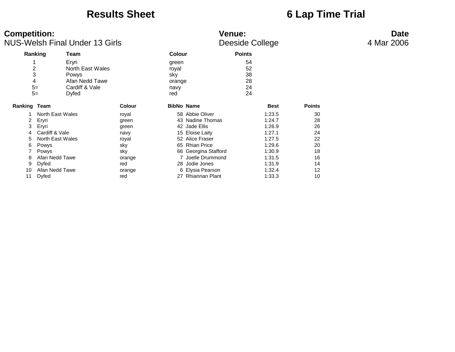### **Results Sheet 6 Lap Time Trial**

| <b>Competition:</b>                                                                               | <b>NUS-Welsh Final Under 13 Girls</b>                                                      |                                                                                          |                       |                                                                                                                                                                                                                      | <b>Venue:</b><br>Deeside College |                                                                                                            |                                                                | <b>Date</b><br>4 Mar 2006 |
|---------------------------------------------------------------------------------------------------|--------------------------------------------------------------------------------------------|------------------------------------------------------------------------------------------|-----------------------|----------------------------------------------------------------------------------------------------------------------------------------------------------------------------------------------------------------------|----------------------------------|------------------------------------------------------------------------------------------------------------|----------------------------------------------------------------|---------------------------|
| Ranking                                                                                           | Team                                                                                       |                                                                                          | <b>Colour</b>         |                                                                                                                                                                                                                      | <b>Points</b>                    |                                                                                                            |                                                                |                           |
| $\boldsymbol{2}$<br>3                                                                             | Eryri<br>North East Wales<br>Powys                                                         |                                                                                          | green<br>royal<br>sky |                                                                                                                                                                                                                      | 54<br>52<br>38                   |                                                                                                            |                                                                |                           |
| 4<br>$5=$<br>$5=$                                                                                 | Afan Nedd Tawe<br>Cardiff & Vale<br>Dyfed                                                  |                                                                                          | orange<br>navy<br>red |                                                                                                                                                                                                                      | 28<br>24<br>24                   |                                                                                                            |                                                                |                           |
| Ranking Team                                                                                      |                                                                                            | <b>Colour</b>                                                                            |                       | <b>BibNo Name</b>                                                                                                                                                                                                    |                                  | Best                                                                                                       | <b>Points</b>                                                  |                           |
| 2<br>Eryri<br>Eryri<br>3<br>4<br>5<br>Powys<br>6<br>Powys<br>8<br>9<br>Dyfed<br>10<br>Dyfed<br>11 | North East Wales<br>Cardiff & Vale<br>North East Wales<br>Afan Nedd Tawe<br>Afan Nedd Tawe | royal<br>green<br>green<br>navy<br>royal<br>sky<br>sky<br>orange<br>red<br>orange<br>red |                       | 58 Abbie Oliver<br>43 Nadine Thomas<br>42 Jade Ellis<br>15 Eloise Laity<br>52 Alice Fraser<br>65 Rhian Price<br>66 Georgina Stafford<br>7 Joelle Drummond<br>28 Jodie Jones<br>6 Elysia Pearson<br>27 Rhiannan Plant |                                  | 1:23.5<br>1:24.7<br>1:26.9<br>1:27.1<br>1:27.5<br>1:29.6<br>1:30.9<br>1:31.5<br>1:31.9<br>1:32.4<br>1:33.3 | 30<br>28<br>26<br>24<br>22<br>20<br>18<br>16<br>14<br>12<br>10 |                           |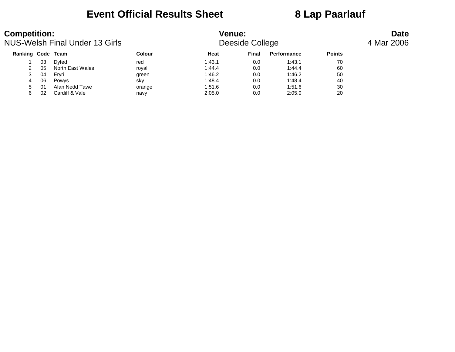### **Event Official Results Sheet 8 Lap Paarlauf**

| <b>Competition:</b> |    | NUS-Welsh Final Under 13 Girls |        | <b>Venue:</b> | Deeside College |                    |               | <b>Date</b><br>4 Mar 2006 |
|---------------------|----|--------------------------------|--------|---------------|-----------------|--------------------|---------------|---------------------------|
| Ranking Code Team   |    |                                | Colour | Heat          | <b>Final</b>    | <b>Performance</b> | <b>Points</b> |                           |
|                     | 03 | Dvfed                          | red    | 1:43.1        | 0.0             | 1:43.1             | 70            |                           |
|                     | 05 | North East Wales               | royal  | 1:44.4        | 0.0             | 1:44.4             | 60            |                           |
| 3                   | 04 | Ervri                          | green  | 1:46.2        | 0.0             | 1:46.2             | 50            |                           |
| 4                   | 06 | Powys                          | sky    | 1:48.4        | 0.0             | 1:48.4             | 40            |                           |
| 5                   | 01 | Afan Nedd Tawe                 | orange | 1:51.6        | 0.0             | 1:51.6             | 30            |                           |
| 6                   | 02 | Cardiff & Vale                 | navy   | 2:05.0        | 0.0             | 2:05.0             | 20            |                           |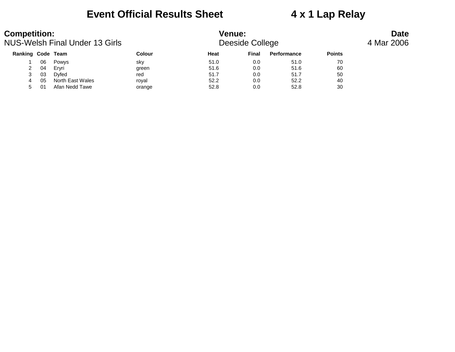### **Event Official Results Sheet 4 x 1 Lap Relay**

| <b>Competition:</b> |     | NUS-Welsh Final Under 13 Girls |               | <b>Venue:</b><br>Deeside College |              | <b>Date</b><br>4 Mar 2006 |               |  |
|---------------------|-----|--------------------------------|---------------|----------------------------------|--------------|---------------------------|---------------|--|
| Ranking Code Team   |     |                                | <b>Colour</b> | Heat                             | <b>Final</b> | Performance               | <b>Points</b> |  |
|                     | 06  | Powys                          | sky           | 51.0                             | 0.0          | 51.0                      | 70            |  |
| 2                   | 04  | Ervri                          | green         | 51.6                             | 0.0          | 51.6                      | 60            |  |
|                     | 03  | Dvfed                          | red           | 51.7                             | 0.0          | 51.7                      | 50            |  |
|                     | 05  | North East Wales               | roval         | 52.2                             | 0.0          | 52.2                      | 40            |  |
| 5                   | -01 | Afan Nedd Tawe                 | orange        | 52.8                             | 0.0          | 52.8                      | 30            |  |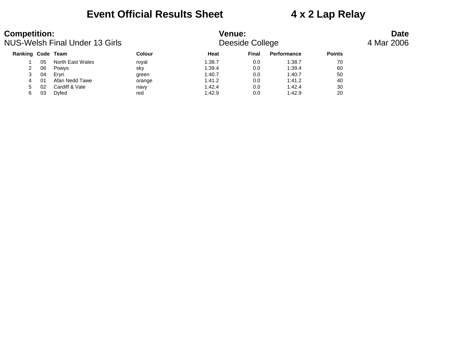### **Event Official Results Sheet 4 x 2 Lap Relay**

| <b>Competition:</b>      |    | NUS-Welsh Final Under 13 Girls |               | <b>Venue:</b> | Deeside College |             | <b>Date</b><br>4 Mar 2006 |  |  |
|--------------------------|----|--------------------------------|---------------|---------------|-----------------|-------------|---------------------------|--|--|
| <b>Ranking Code Team</b> |    |                                | <b>Colour</b> | Heat          | Final           | Performance | <b>Points</b>             |  |  |
|                          | 05 | North East Wales               | royal         | 1:38.7        | 0.0             | 1:38.7      | 70                        |  |  |
| 2                        | 06 | Powys                          | sky           | 1:39.4        | 0.0             | 1:39.4      | 60                        |  |  |
|                          | 04 | Ervri                          | green         | 1:40.7        | 0.0             | 1:40.7      | 50                        |  |  |
| 4                        | 01 | Afan Nedd Tawe                 | orange        | 1:41.2        | 0.0             | 1:41.2      | 40                        |  |  |
| 5                        | 02 | Cardiff & Vale                 | navy          | 1:42.4        | 0.0             | 1:42.4      | 30                        |  |  |
| 6                        | 03 | Dyfed                          | red           | 1:42.9        | 0.0             | 1:42.9      | 20                        |  |  |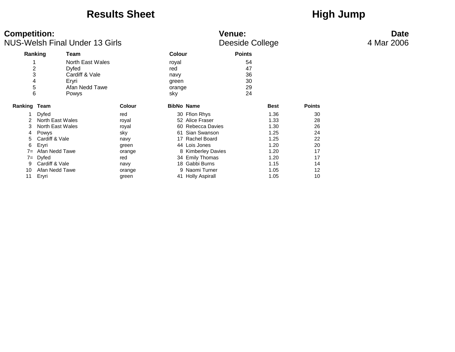### Results Sheet **High Jump**

| <b>Competition:</b><br><b>NUS-Welsh Final Under 13 Girls</b> |                  |                  |               | <b>Venue:</b><br>Deeside College | <b>Date</b><br>4 Mar 2006 |               |             |               |  |
|--------------------------------------------------------------|------------------|------------------|---------------|----------------------------------|---------------------------|---------------|-------------|---------------|--|
|                                                              | Ranking          | Team             |               | <b>Colour</b>                    |                           | <b>Points</b> |             |               |  |
|                                                              |                  | North East Wales |               | royal                            |                           | 54            |             |               |  |
| 2                                                            |                  | Dyfed            |               | red                              |                           | 47            |             |               |  |
|                                                              |                  | Cardiff & Vale   |               | navy                             |                           | 36            |             |               |  |
|                                                              |                  | Eryri            |               | green                            |                           | 30            |             |               |  |
| 5                                                            |                  | Afan Nedd Tawe   |               | orange                           |                           | 29            |             |               |  |
| 6                                                            |                  | Powys            |               | sky                              |                           | 24            |             |               |  |
| Ranking                                                      | Team             |                  | <b>Colour</b> | <b>BibNo Name</b>                |                           |               | <b>Best</b> | <b>Points</b> |  |
|                                                              | <b>Dyfed</b>     |                  | red           |                                  | 30 Ffion Rhys             |               | 1.36        | 30            |  |
|                                                              | North East Wales |                  | royal         |                                  | 52 Alice Fraser           |               | 1.33        | 28            |  |
| 3                                                            | North East Wales |                  | royal         |                                  | 60 Rebecca Davies         |               | 1.30        | 26            |  |
| 4                                                            | Powys            |                  | sky           |                                  | 61 Sian Swanson           |               | 1.25        | 24            |  |
| 5                                                            | Cardiff & Vale   |                  | navy          |                                  | 17 Rachel Board           |               | 1.25        | 22            |  |
| 6                                                            | Eryri            |                  | green         |                                  | 44 Lois Jones             |               | 1.20        | 20            |  |
| $7 =$                                                        | Afan Nedd Tawe   |                  | orange        |                                  | 8 Kimberley Davies        |               | 1.20        | 17            |  |
| $7 =$                                                        | Dyfed            |                  | red           |                                  | 34 Emily Thomas           |               | 1.20        | 17            |  |
| 9                                                            | Cardiff & Vale   |                  | navy          |                                  | 18 Gabbi Burns            |               | 1.15        | 14            |  |
| 10                                                           | Afan Nedd Tawe   |                  | orange        |                                  | 9 Naomi Turner            |               | 1.05        | 12            |  |
| 11                                                           | Eryri            |                  | green         |                                  | 41 Holly Aspirall         |               | 1.05        | 10            |  |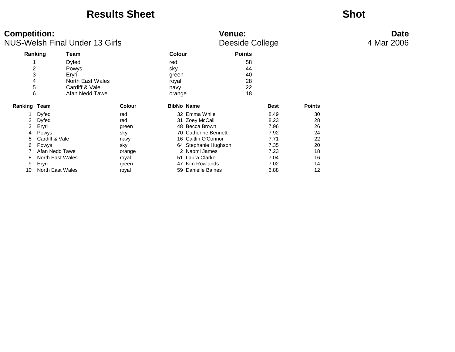### **Results Sheet Shot**

### **Competition: Venue: Date** NUS-Welsh Final Under 13 Girls **And The College College Access** 4 Mar 2006

| Ranking |                  | Team             |               | <b>Colour</b>     |                        | <b>Points</b> |             |               |
|---------|------------------|------------------|---------------|-------------------|------------------------|---------------|-------------|---------------|
| ◢       |                  | Dyfed            |               | red               |                        | 58            |             |               |
| 2       |                  | Powys            |               | sky               |                        | 44            |             |               |
| 3       |                  | Eryri            |               | green             |                        | 40            |             |               |
| 4       |                  | North East Wales |               | royal             |                        | 28            |             |               |
| 5       |                  | Cardiff & Vale   |               | navy              |                        | 22            |             |               |
| 6       |                  | Afan Nedd Tawe   |               | orange            |                        | 18            |             |               |
| Ranking | Team             |                  | <b>Colour</b> | <b>BibNo Name</b> |                        |               | <b>Best</b> | <b>Points</b> |
|         | Dyfed            |                  | red           |                   | 32 Emma While          |               | 8.49        | 30            |
| 2       | Dyfed            |                  | red           |                   | 31 Zoey McCall         |               | 8.23        | 28            |
| 3       | Eryri            |                  | green         |                   | 48 Becca Brown         |               | 7.96        | 26            |
| 4       | Powys            |                  | sky           |                   | 70 Catherine Bennett   |               | 7.92        | 24            |
| 5.      | Cardiff & Vale   |                  | navy          |                   | 16 Caitlin O'Connor    |               | 7.71        | 22            |
| 6       | Powys            |                  | sky           |                   | 64 Stephanie Hughson   |               | 7.35        | 20            |
|         | Afan Nedd Tawe   |                  | orange        |                   | 2 Naomi James          |               | 7.23        | 18            |
| 8       | North East Wales |                  | royal         | 51                | Laura Clarke           |               | 7.04        | 16            |
| 9       | Eryri            |                  | green         | 47                | Kim Rowlands           |               | 7.02        | 14            |
| 10      | North East Wales |                  | royal         | 59.               | <b>Danielle Baines</b> |               | 6.88        | 12            |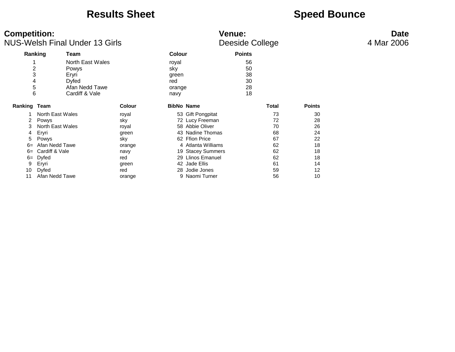### **Results Sheet Speed Bounce**

| <b>Competition:</b><br><b>NUS-Welsh Final Under 13 Girls</b> |                  |                  |               | Venue:<br>Deeside College | <b>Date</b><br>4 Mar 2006 |              |               |  |
|--------------------------------------------------------------|------------------|------------------|---------------|---------------------------|---------------------------|--------------|---------------|--|
|                                                              | Ranking<br>Team  |                  | <b>Colour</b> |                           | <b>Points</b>             |              |               |  |
|                                                              |                  | North East Wales | royal         |                           | 56                        |              |               |  |
| 2                                                            | Powys            |                  | sky           |                           | 50                        |              |               |  |
| 3                                                            | Eryri            |                  | green         |                           | 38                        |              |               |  |
|                                                              | <b>Dyfed</b>     |                  | red           |                           | 30                        |              |               |  |
| 5                                                            |                  | Afan Nedd Tawe   | orange        |                           | 28                        |              |               |  |
| 6                                                            |                  | Cardiff & Vale   | navy          |                           | 18                        |              |               |  |
| <b>Ranking Team</b>                                          |                  |                  | <b>Colour</b> | <b>BibNo Name</b>         |                           | <b>Total</b> | <b>Points</b> |  |
|                                                              | North East Wales | royal            |               | 53 Gift Pongpitat         |                           | 73           | 30            |  |
|                                                              | Powys            | sky              |               | 72 Lucy Freeman           |                           | 72           | 28            |  |
| 3                                                            | North East Wales | royal            |               | 58 Abbie Oliver           |                           | 70           | 26            |  |
| 4                                                            | Eryri            |                  | green         | 43 Nadine Thomas          |                           | 68           | 24            |  |
| 5                                                            | Powys            | sky              |               | 62 Ffion Price            |                           | 67           | 22            |  |
| $6=$                                                         | Afan Nedd Tawe   |                  | orange        | 4 Atlanta Williams        |                           | 62           | 18            |  |
| $6=$                                                         | Cardiff & Vale   | navy             |               | 19 Stacey Summers         |                           | 62           | 18            |  |
| $6=$                                                         | Dyfed            | red              |               | 29 Llinos Emanuel         |                           | 62           | 18            |  |
| 9                                                            | Eryri            |                  | green         | 42 Jade Ellis             |                           | 61           | 14            |  |
| 10                                                           | Dyfed            | red              |               | 28 Jodie Jones            |                           | 59           | 12            |  |
| 11                                                           | Afan Nedd Tawe   |                  | orange        | 9 Naomi Turner            |                           | 56           | 10            |  |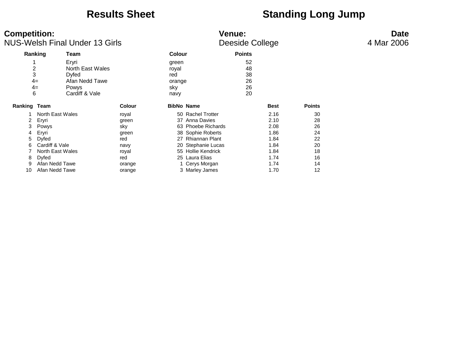### **Results Sheet Standing Long Jump**

| <b>Competition:</b><br><b>NUS-Welsh Final Under 13 Girls</b> |                                                                                                                                         |                                                                                        |                                                                                   | <b>Venue:</b><br>Deeside College               | <b>Date</b><br>4 Mar 2006                                                                                                                                                                             |                                  |                                                                              |                                                          |  |
|--------------------------------------------------------------|-----------------------------------------------------------------------------------------------------------------------------------------|----------------------------------------------------------------------------------------|-----------------------------------------------------------------------------------|------------------------------------------------|-------------------------------------------------------------------------------------------------------------------------------------------------------------------------------------------------------|----------------------------------|------------------------------------------------------------------------------|----------------------------------------------------------|--|
|                                                              | Ranking                                                                                                                                 | Team                                                                                   |                                                                                   | <b>Colour</b>                                  |                                                                                                                                                                                                       | <b>Points</b>                    |                                                                              |                                                          |  |
| $\overline{2}$<br>3<br>6                                     | $4=$<br>$4=$                                                                                                                            | Eryri<br>North East Wales<br>Dyfed<br>Afan Nedd Tawe<br><b>Powys</b><br>Cardiff & Vale |                                                                                   | green<br>royal<br>red<br>orange<br>sky<br>navy |                                                                                                                                                                                                       | 52<br>48<br>38<br>26<br>26<br>20 |                                                                              |                                                          |  |
| <b>Ranking Team</b>                                          |                                                                                                                                         |                                                                                        | <b>Colour</b>                                                                     | <b>BibNo Name</b>                              |                                                                                                                                                                                                       |                                  | <b>Best</b>                                                                  | <b>Points</b>                                            |  |
| 2<br>3<br>4<br>5<br>6<br>8<br>9<br>10                        | North East Wales<br>Eryri<br>Powys<br>Eryri<br>Dyfed<br>Cardiff & Vale<br>North East Wales<br>Dyfed<br>Afan Nedd Tawe<br>Afan Nedd Tawe |                                                                                        | royal<br>green<br>sky<br>green<br>red<br>navy<br>royal<br>red<br>orange<br>orange |                                                | 50 Rachel Trotter<br>37 Anna Davies<br>63 Phoebe Richards<br>38 Sophie Roberts<br>27 Rhiannan Plant<br>20 Stephanie Lucas<br>55 Hollie Kendrick<br>25 Laura Elias<br>1 Cerys Morgan<br>3 Marley James |                                  | 2.16<br>2.10<br>2.08<br>1.86<br>1.84<br>1.84<br>1.84<br>1.74<br>1.74<br>1.70 | 30<br>28<br>26<br>24<br>22<br>20<br>18<br>16<br>14<br>12 |  |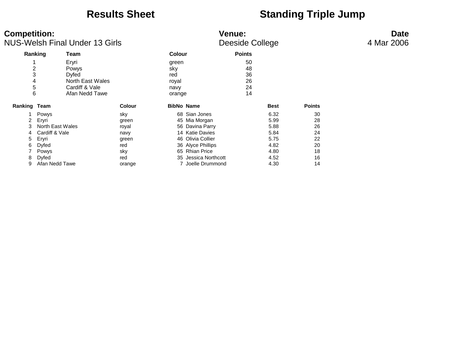### **Results Sheet Standing Triple Jump**

| <b>Competition:</b><br><b>NUS-Welsh Final Under 13 Girls</b> |                                                                                                                   |                                                                                 |                                                                       | <b>Venue:</b><br>Deeside College               |                                                                                                                                                                             | <b>Date</b><br>4 Mar 2006        |                                                                      |                                                    |  |
|--------------------------------------------------------------|-------------------------------------------------------------------------------------------------------------------|---------------------------------------------------------------------------------|-----------------------------------------------------------------------|------------------------------------------------|-----------------------------------------------------------------------------------------------------------------------------------------------------------------------------|----------------------------------|----------------------------------------------------------------------|----------------------------------------------------|--|
|                                                              | Ranking                                                                                                           | Team                                                                            |                                                                       | Colour                                         |                                                                                                                                                                             | <b>Points</b>                    |                                                                      |                                                    |  |
|                                                              | $\overline{\mathbf{c}}$<br>3<br>4<br>5<br>6                                                                       | Eryri<br>Powys<br>Dyfed<br>North East Wales<br>Cardiff & Vale<br>Afan Nedd Tawe |                                                                       | green<br>sky<br>red<br>royal<br>navy<br>orange |                                                                                                                                                                             | 50<br>48<br>36<br>26<br>24<br>14 |                                                                      |                                                    |  |
| Ranking Team                                                 |                                                                                                                   |                                                                                 | <b>Colour</b>                                                         |                                                | <b>BibNo Name</b>                                                                                                                                                           |                                  | <b>Best</b>                                                          | <b>Points</b>                                      |  |
| 2<br>4<br>5<br>6<br>8<br>9                                   | Powys<br>Eryri<br>North East Wales<br>Cardiff & Vale<br>Eryri<br>Dyfed<br>Powys<br><b>Dyfed</b><br>Afan Nedd Tawe |                                                                                 | sky<br>green<br>royal<br>navy<br>green<br>red<br>sky<br>red<br>orange |                                                | 68 Sian Jones<br>45 Mia Morgan<br>56 Davina Parry<br>14 Katie Davies<br>46 Olivia Collier<br>36 Alyce Phillips<br>65 Rhian Price<br>35 Jessica Northcott<br>Joelle Drummond |                                  | 6.32<br>5.99<br>5.88<br>5.84<br>5.75<br>4.82<br>4.80<br>4.52<br>4.30 | 30<br>28<br>26<br>24<br>22<br>20<br>18<br>16<br>14 |  |